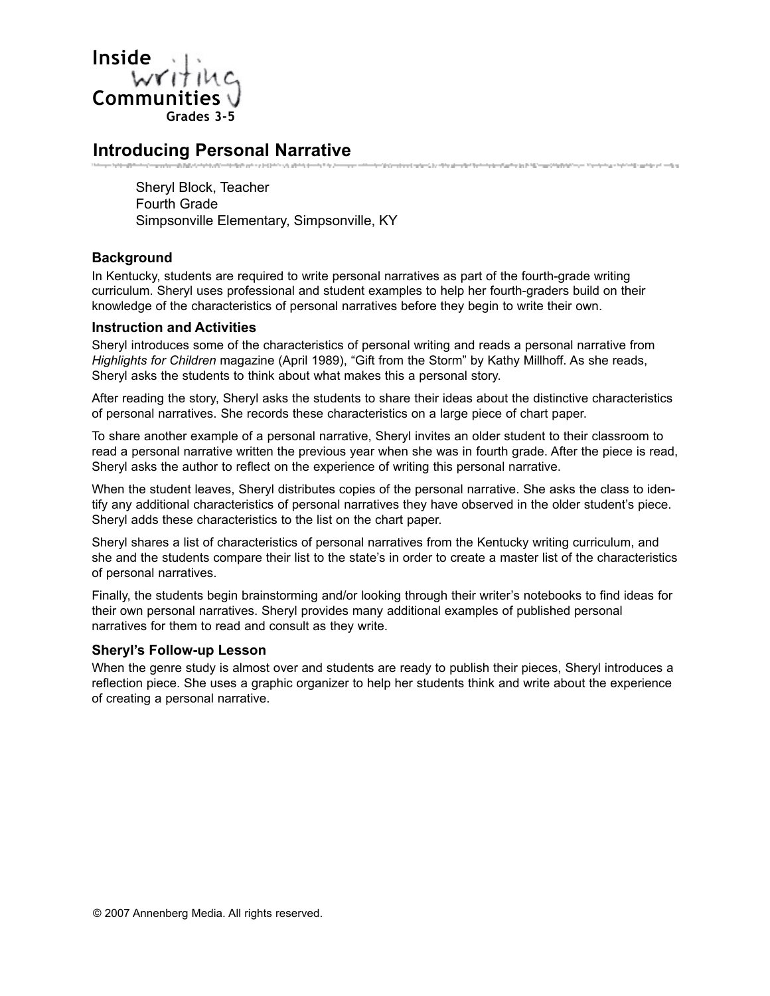

## **Introducing Personal Narrative**

Sheryl Block, Teacher Fourth Grade Simpsonville Elementary, Simpsonville, KY

### **Background**

In Kentucky, students are required to write personal narratives as part of the fourth-grade writing curriculum. Sheryl uses professional and student examples to help her fourth-graders build on their knowledge of the characteristics of personal narratives before they begin to write their own.

.<br>The Share state of the Share shows that the first state of an including the Share construction of the state of

#### **Instruction and Activities**

Sheryl introduces some of the characteristics of personal writing and reads a personal narrative from *Highlights for Children* magazine (April 1989), "Gift from the Storm" by Kathy Millhoff. As she reads, Sheryl asks the students to think about what makes this a personal story.

After reading the story, Sheryl asks the students to share their ideas about the distinctive characteristics of personal narratives. She records these characteristics on a large piece of chart paper.

To share another example of a personal narrative, Sheryl invites an older student to their classroom to read a personal narrative written the previous year when she was in fourth grade. After the piece is read, Sheryl asks the author to reflect on the experience of writing this personal narrative.

When the student leaves, Sheryl distributes copies of the personal narrative. She asks the class to identify any additional characteristics of personal narratives they have observed in the older student's piece. Sheryl adds these characteristics to the list on the chart paper.

Sheryl shares a list of characteristics of personal narratives from the Kentucky writing curriculum, and she and the students compare their list to the state's in order to create a master list of the characteristics of personal narratives.

Finally, the students begin brainstorming and/or looking through their writer's notebooks to find ideas for their own personal narratives. Sheryl provides many additional examples of published personal narratives for them to read and consult as they write.

#### **Sheryl's Follow-up Lesson**

When the genre study is almost over and students are ready to publish their pieces, Sheryl introduces a reflection piece. She uses a graphic organizer to help her students think and write about the experience of creating a personal narrative.